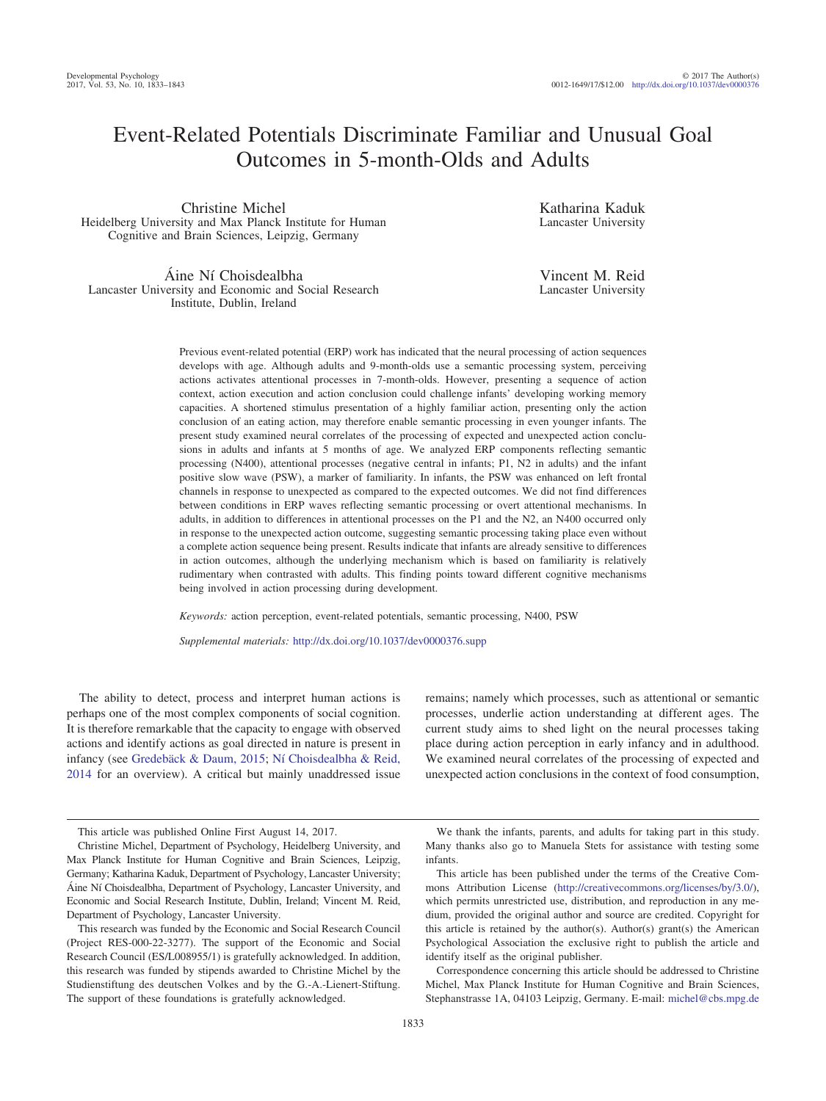# Event-Related Potentials Discriminate Familiar and Unusual Goal Outcomes in 5-month-Olds and Adults

Christine Michel Heidelberg University and Max Planck Institute for Human Cognitive and Brain Sciences, Leipzig, Germany

Áine Ní Choisdealbha Lancaster University and Economic and Social Research Institute, Dublin, Ireland

Katharina Kaduk Lancaster University

Vincent M. Reid Lancaster University

Previous event-related potential (ERP) work has indicated that the neural processing of action sequences develops with age. Although adults and 9-month-olds use a semantic processing system, perceiving actions activates attentional processes in 7-month-olds. However, presenting a sequence of action context, action execution and action conclusion could challenge infants' developing working memory capacities. A shortened stimulus presentation of a highly familiar action, presenting only the action conclusion of an eating action, may therefore enable semantic processing in even younger infants. The present study examined neural correlates of the processing of expected and unexpected action conclusions in adults and infants at 5 months of age. We analyzed ERP components reflecting semantic processing (N400), attentional processes (negative central in infants; P1, N2 in adults) and the infant positive slow wave (PSW), a marker of familiarity. In infants, the PSW was enhanced on left frontal channels in response to unexpected as compared to the expected outcomes. We did not find differences between conditions in ERP waves reflecting semantic processing or overt attentional mechanisms. In adults, in addition to differences in attentional processes on the P1 and the N2, an N400 occurred only in response to the unexpected action outcome, suggesting semantic processing taking place even without a complete action sequence being present. Results indicate that infants are already sensitive to differences in action outcomes, although the underlying mechanism which is based on familiarity is relatively rudimentary when contrasted with adults. This finding points toward different cognitive mechanisms being involved in action processing during development.

*Keywords:* action perception, event-related potentials, semantic processing, N400, PSW

*Supplemental materials:* http://dx.doi.org/10.1037/dev0000376.supp

The ability to detect, process and interpret human actions is perhaps one of the most complex components of social cognition. It is therefore remarkable that the capacity to engage with observed actions and identify actions as goal directed in nature is present in infancy (see [Gredebäck & Daum, 2015;](#page-9-0) [Ní Choisdealbha & Reid,](#page-10-0) [2014](#page-10-0) for an overview). A critical but mainly unaddressed issue remains; namely which processes, such as attentional or semantic processes, underlie action understanding at different ages. The current study aims to shed light on the neural processes taking place during action perception in early infancy and in adulthood. We examined neural correlates of the processing of expected and unexpected action conclusions in the context of food consumption,

We thank the infants, parents, and adults for taking part in this study. Many thanks also go to Manuela Stets for assistance with testing some infants.

Correspondence concerning this article should be addressed to Christine Michel, Max Planck Institute for Human Cognitive and Brain Sciences, Stephanstrasse 1A, 04103 Leipzig, Germany. E-mail: [michel@cbs.mpg.de](mailto:michel@cbs.mpg.de)

This article was published Online First August 14, 2017.

Christine Michel, Department of Psychology, Heidelberg University, and Max Planck Institute for Human Cognitive and Brain Sciences, Leipzig, Germany; Katharina Kaduk, Department of Psychology, Lancaster University; Áine Ní Choisdealbha, Department of Psychology, Lancaster University, and Economic and Social Research Institute, Dublin, Ireland; Vincent M. Reid, Department of Psychology, Lancaster University.

This research was funded by the Economic and Social Research Council (Project RES-000-22-3277). The support of the Economic and Social Research Council (ES/L008955/1) is gratefully acknowledged. In addition, this research was funded by stipends awarded to Christine Michel by the Studienstiftung des deutschen Volkes and by the G.-A.-Lienert-Stiftung. The support of these foundations is gratefully acknowledged.

This article has been published under the terms of the Creative Commons Attribution License [\(http://creativecommons.org/licenses/by/3.0/\)](http://creativecommons.org/licenses/by/3.0/), which permits unrestricted use, distribution, and reproduction in any medium, provided the original author and source are credited. Copyright for this article is retained by the author(s). Author(s) grant(s) the American Psychological Association the exclusive right to publish the article and identify itself as the original publisher.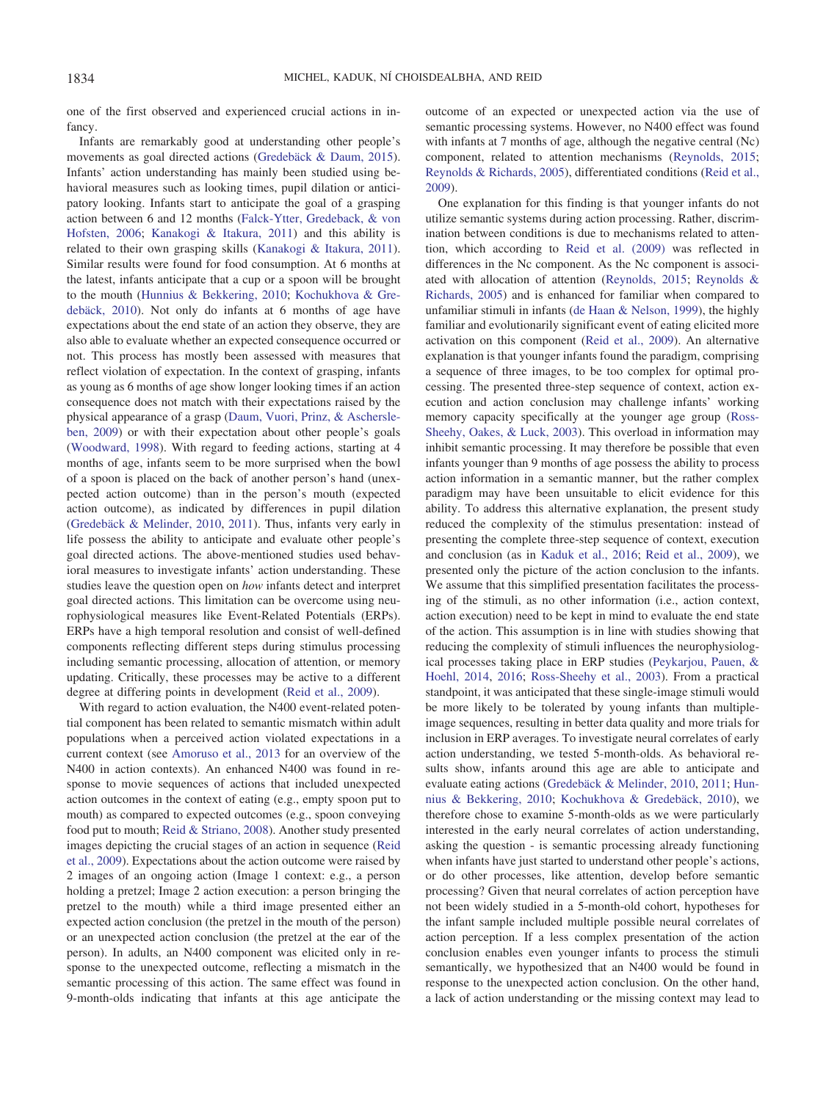one of the first observed and experienced crucial actions in infancy.

Infants are remarkably good at understanding other people's movements as goal directed actions [\(Gredebäck & Daum, 2015\)](#page-9-0). Infants' action understanding has mainly been studied using behavioral measures such as looking times, pupil dilation or anticipatory looking. Infants start to anticipate the goal of a grasping action between 6 and 12 months [\(Falck-Ytter, Gredeback, & von](#page-9-1) [Hofsten, 2006;](#page-9-1) [Kanakogi & Itakura, 2011\)](#page-9-2) and this ability is related to their own grasping skills [\(Kanakogi & Itakura, 2011\)](#page-9-2). Similar results were found for food consumption. At 6 months at the latest, infants anticipate that a cup or a spoon will be brought to the mouth [\(Hunnius & Bekkering, 2010;](#page-9-3) [Kochukhova & Gre](#page-9-4)[debäck, 2010\)](#page-9-4). Not only do infants at 6 months of age have expectations about the end state of an action they observe, they are also able to evaluate whether an expected consequence occurred or not. This process has mostly been assessed with measures that reflect violation of expectation. In the context of grasping, infants as young as 6 months of age show longer looking times if an action consequence does not match with their expectations raised by the physical appearance of a grasp [\(Daum, Vuori, Prinz, & Aschersle](#page-9-5)[ben, 2009\)](#page-9-5) or with their expectation about other people's goals [\(Woodward, 1998\)](#page-10-1). With regard to feeding actions, starting at 4 months of age, infants seem to be more surprised when the bowl of a spoon is placed on the back of another person's hand (unexpected action outcome) than in the person's mouth (expected action outcome), as indicated by differences in pupil dilation [\(Gredebäck & Melinder, 2010,](#page-9-6) [2011\)](#page-9-7). Thus, infants very early in life possess the ability to anticipate and evaluate other people's goal directed actions. The above-mentioned studies used behavioral measures to investigate infants' action understanding. These studies leave the question open on *how* infants detect and interpret goal directed actions. This limitation can be overcome using neurophysiological measures like Event-Related Potentials (ERPs). ERPs have a high temporal resolution and consist of well-defined components reflecting different steps during stimulus processing including semantic processing, allocation of attention, or memory updating. Critically, these processes may be active to a different degree at differing points in development [\(Reid et al., 2009\)](#page-10-2).

With regard to action evaluation, the N400 event-related potential component has been related to semantic mismatch within adult populations when a perceived action violated expectations in a current context (see [Amoruso et al., 2013](#page-9-8) for an overview of the N400 in action contexts). An enhanced N400 was found in response to movie sequences of actions that included unexpected action outcomes in the context of eating (e.g., empty spoon put to mouth) as compared to expected outcomes (e.g., spoon conveying food put to mouth; [Reid & Striano, 2008\)](#page-10-3). Another study presented images depicting the crucial stages of an action in sequence [\(Reid](#page-10-2) [et al., 2009\)](#page-10-2). Expectations about the action outcome were raised by 2 images of an ongoing action (Image 1 context: e.g., a person holding a pretzel; Image 2 action execution: a person bringing the pretzel to the mouth) while a third image presented either an expected action conclusion (the pretzel in the mouth of the person) or an unexpected action conclusion (the pretzel at the ear of the person). In adults, an N400 component was elicited only in response to the unexpected outcome, reflecting a mismatch in the semantic processing of this action. The same effect was found in 9-month-olds indicating that infants at this age anticipate the outcome of an expected or unexpected action via the use of semantic processing systems. However, no N400 effect was found with infants at 7 months of age, although the negative central (Nc) component, related to attention mechanisms [\(Reynolds, 2015;](#page-10-4) [Reynolds & Richards, 2005\)](#page-10-5), differentiated conditions [\(Reid et al.,](#page-10-2) [2009\)](#page-10-2).

One explanation for this finding is that younger infants do not utilize semantic systems during action processing. Rather, discrimination between conditions is due to mechanisms related to attention, which according to [Reid et al. \(2009\)](#page-10-2) was reflected in differences in the Nc component. As the Nc component is associated with allocation of attention [\(Reynolds, 2015;](#page-10-4) [Reynolds &](#page-10-5) [Richards, 2005\)](#page-10-5) and is enhanced for familiar when compared to unfamiliar stimuli in infants [\(de Haan & Nelson, 1999\)](#page-9-9), the highly familiar and evolutionarily significant event of eating elicited more activation on this component [\(Reid et al., 2009\)](#page-10-2). An alternative explanation is that younger infants found the paradigm, comprising a sequence of three images, to be too complex for optimal processing. The presented three-step sequence of context, action execution and action conclusion may challenge infants' working memory capacity specifically at the younger age group [\(Ross-](#page-10-6)[Sheehy, Oakes, & Luck, 2003\)](#page-10-6). This overload in information may inhibit semantic processing. It may therefore be possible that even infants younger than 9 months of age possess the ability to process action information in a semantic manner, but the rather complex paradigm may have been unsuitable to elicit evidence for this ability. To address this alternative explanation, the present study reduced the complexity of the stimulus presentation: instead of presenting the complete three-step sequence of context, execution and conclusion (as in [Kaduk et al., 2016;](#page-9-10) [Reid et al., 2009\)](#page-10-2), we presented only the picture of the action conclusion to the infants. We assume that this simplified presentation facilitates the processing of the stimuli, as no other information (i.e., action context, action execution) need to be kept in mind to evaluate the end state of the action. This assumption is in line with studies showing that reducing the complexity of stimuli influences the neurophysiological processes taking place in ERP studies [\(Peykarjou, Pauen, &](#page-10-7) [Hoehl, 2014,](#page-10-7) [2016;](#page-10-8) [Ross-Sheehy et al., 2003\)](#page-10-6). From a practical standpoint, it was anticipated that these single-image stimuli would be more likely to be tolerated by young infants than multipleimage sequences, resulting in better data quality and more trials for inclusion in ERP averages. To investigate neural correlates of early action understanding, we tested 5-month-olds. As behavioral results show, infants around this age are able to anticipate and evaluate eating actions [\(Gredebäck & Melinder, 2010,](#page-9-6) [2011;](#page-9-7) [Hun](#page-9-3)[nius & Bekkering, 2010;](#page-9-3) [Kochukhova & Gredebäck, 2010\)](#page-9-4), we therefore chose to examine 5-month-olds as we were particularly interested in the early neural correlates of action understanding, asking the question - is semantic processing already functioning when infants have just started to understand other people's actions, or do other processes, like attention, develop before semantic processing? Given that neural correlates of action perception have not been widely studied in a 5-month-old cohort, hypotheses for the infant sample included multiple possible neural correlates of action perception. If a less complex presentation of the action conclusion enables even younger infants to process the stimuli semantically, we hypothesized that an N400 would be found in response to the unexpected action conclusion. On the other hand, a lack of action understanding or the missing context may lead to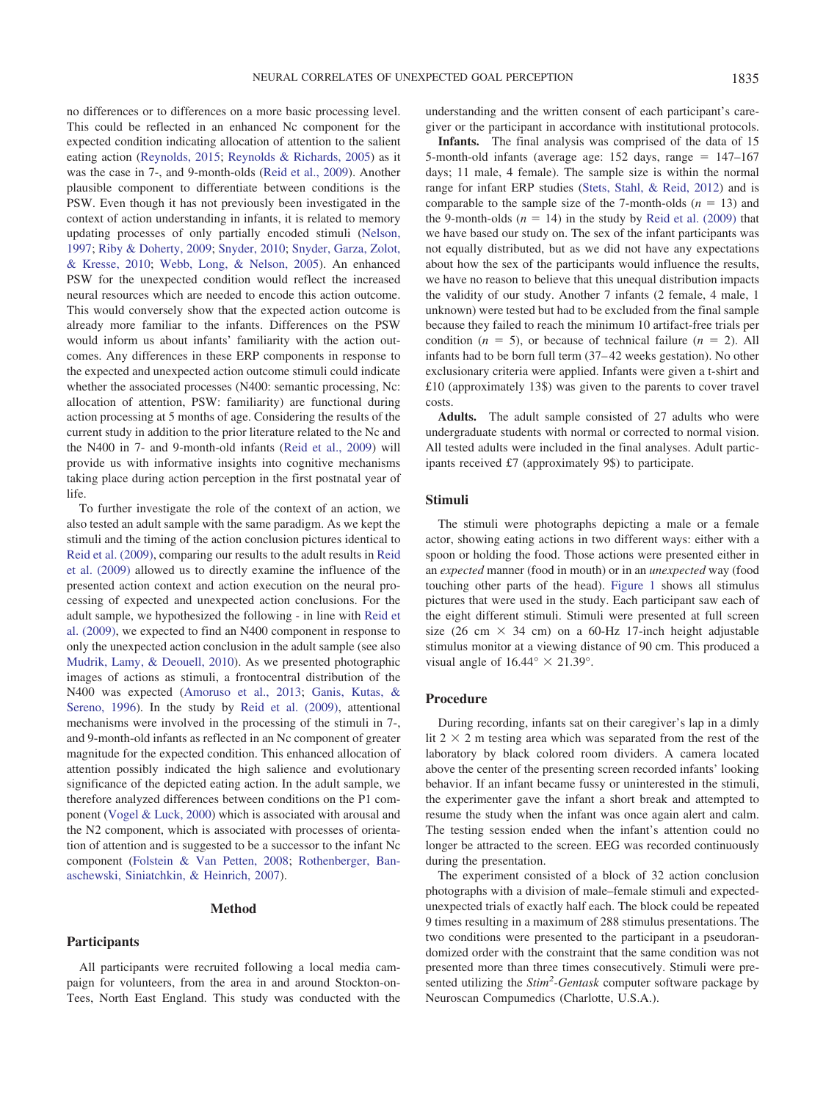no differences or to differences on a more basic processing level. This could be reflected in an enhanced Nc component for the expected condition indicating allocation of attention to the salient eating action [\(Reynolds, 2015;](#page-10-4) [Reynolds & Richards, 2005\)](#page-10-5) as it was the case in 7-, and 9-month-olds [\(Reid et al., 2009\)](#page-10-2). Another plausible component to differentiate between conditions is the PSW. Even though it has not previously been investigated in the context of action understanding in infants, it is related to memory updating processes of only partially encoded stimuli [\(Nelson,](#page-9-11) [1997;](#page-9-11) [Riby & Doherty, 2009;](#page-10-9) [Snyder, 2010;](#page-10-10) [Snyder, Garza, Zolot,](#page-10-11) [& Kresse, 2010;](#page-10-11) [Webb, Long, & Nelson, 2005\)](#page-10-12). An enhanced PSW for the unexpected condition would reflect the increased neural resources which are needed to encode this action outcome. This would conversely show that the expected action outcome is already more familiar to the infants. Differences on the PSW would inform us about infants' familiarity with the action outcomes. Any differences in these ERP components in response to the expected and unexpected action outcome stimuli could indicate whether the associated processes (N400: semantic processing, Nc: allocation of attention, PSW: familiarity) are functional during action processing at 5 months of age. Considering the results of the current study in addition to the prior literature related to the Nc and the N400 in 7- and 9-month-old infants [\(Reid et al., 2009\)](#page-10-2) will provide us with informative insights into cognitive mechanisms taking place during action perception in the first postnatal year of life.

To further investigate the role of the context of an action, we also tested an adult sample with the same paradigm. As we kept the stimuli and the timing of the action conclusion pictures identical to [Reid et al. \(2009\),](#page-10-2) comparing our results to the adult results in [Reid](#page-10-2) [et al. \(2009\)](#page-10-2) allowed us to directly examine the influence of the presented action context and action execution on the neural processing of expected and unexpected action conclusions. For the adult sample, we hypothesized the following - in line with [Reid et](#page-10-2) [al. \(2009\),](#page-10-2) we expected to find an N400 component in response to only the unexpected action conclusion in the adult sample (see also [Mudrik, Lamy, & Deouell, 2010\)](#page-9-12). As we presented photographic images of actions as stimuli, a frontocentral distribution of the N400 was expected [\(Amoruso et al., 2013;](#page-9-8) [Ganis, Kutas, &](#page-9-13) [Sereno, 1996\)](#page-9-13). In the study by [Reid et al. \(2009\),](#page-10-2) attentional mechanisms were involved in the processing of the stimuli in 7-, and 9-month-old infants as reflected in an Nc component of greater magnitude for the expected condition. This enhanced allocation of attention possibly indicated the high salience and evolutionary significance of the depicted eating action. In the adult sample, we therefore analyzed differences between conditions on the P1 component [\(Vogel & Luck, 2000\)](#page-10-13) which is associated with arousal and the N2 component, which is associated with processes of orientation of attention and is suggested to be a successor to the infant Nc component [\(Folstein & Van Petten, 2008;](#page-9-14) [Rothenberger, Ban](#page-10-14)[aschewski, Siniatchkin, & Heinrich, 2007\)](#page-10-14).

#### **Method**

#### **Participants**

All participants were recruited following a local media campaign for volunteers, from the area in and around Stockton-on-Tees, North East England. This study was conducted with the understanding and the written consent of each participant's caregiver or the participant in accordance with institutional protocols.

**Infants.** The final analysis was comprised of the data of 15 5-month-old infants (average age:  $152$  days, range =  $147-167$ days; 11 male, 4 female). The sample size is within the normal range for infant ERP studies [\(Stets, Stahl, & Reid, 2012\)](#page-10-15) and is comparable to the sample size of the 7-month-olds  $(n = 13)$  and the 9-month-olds  $(n = 14)$  in the study by [Reid et al. \(2009\)](#page-10-2) that we have based our study on. The sex of the infant participants was not equally distributed, but as we did not have any expectations about how the sex of the participants would influence the results, we have no reason to believe that this unequal distribution impacts the validity of our study. Another 7 infants (2 female, 4 male, 1 unknown) were tested but had to be excluded from the final sample because they failed to reach the minimum 10 artifact-free trials per condition ( $n = 5$ ), or because of technical failure ( $n = 2$ ). All infants had to be born full term (37– 42 weeks gestation). No other exclusionary criteria were applied. Infants were given a t-shirt and £10 (approximately 13\$) was given to the parents to cover travel costs.

**Adults.** The adult sample consisted of 27 adults who were undergraduate students with normal or corrected to normal vision. All tested adults were included in the final analyses. Adult participants received £7 (approximately 9\$) to participate.

#### **Stimuli**

The stimuli were photographs depicting a male or a female actor, showing eating actions in two different ways: either with a spoon or holding the food. Those actions were presented either in an *expected* manner (food in mouth) or in an *unexpected* way (food touching other parts of the head). [Figure 1](#page-3-0) shows all stimulus pictures that were used in the study. Each participant saw each of the eight different stimuli. Stimuli were presented at full screen size (26 cm  $\times$  34 cm) on a 60-Hz 17-inch height adjustable stimulus monitor at a viewing distance of 90 cm. This produced a visual angle of  $16.44^{\circ} \times 21.39^{\circ}$ .

#### **Procedure**

During recording, infants sat on their caregiver's lap in a dimly lit  $2 \times 2$  m testing area which was separated from the rest of the laboratory by black colored room dividers. A camera located above the center of the presenting screen recorded infants' looking behavior. If an infant became fussy or uninterested in the stimuli, the experimenter gave the infant a short break and attempted to resume the study when the infant was once again alert and calm. The testing session ended when the infant's attention could no longer be attracted to the screen. EEG was recorded continuously during the presentation.

The experiment consisted of a block of 32 action conclusion photographs with a division of male–female stimuli and expectedunexpected trials of exactly half each. The block could be repeated 9 times resulting in a maximum of 288 stimulus presentations. The two conditions were presented to the participant in a pseudorandomized order with the constraint that the same condition was not presented more than three times consecutively. Stimuli were presented utilizing the *Stim2 -Gentask* computer software package by Neuroscan Compumedics (Charlotte, U.S.A.).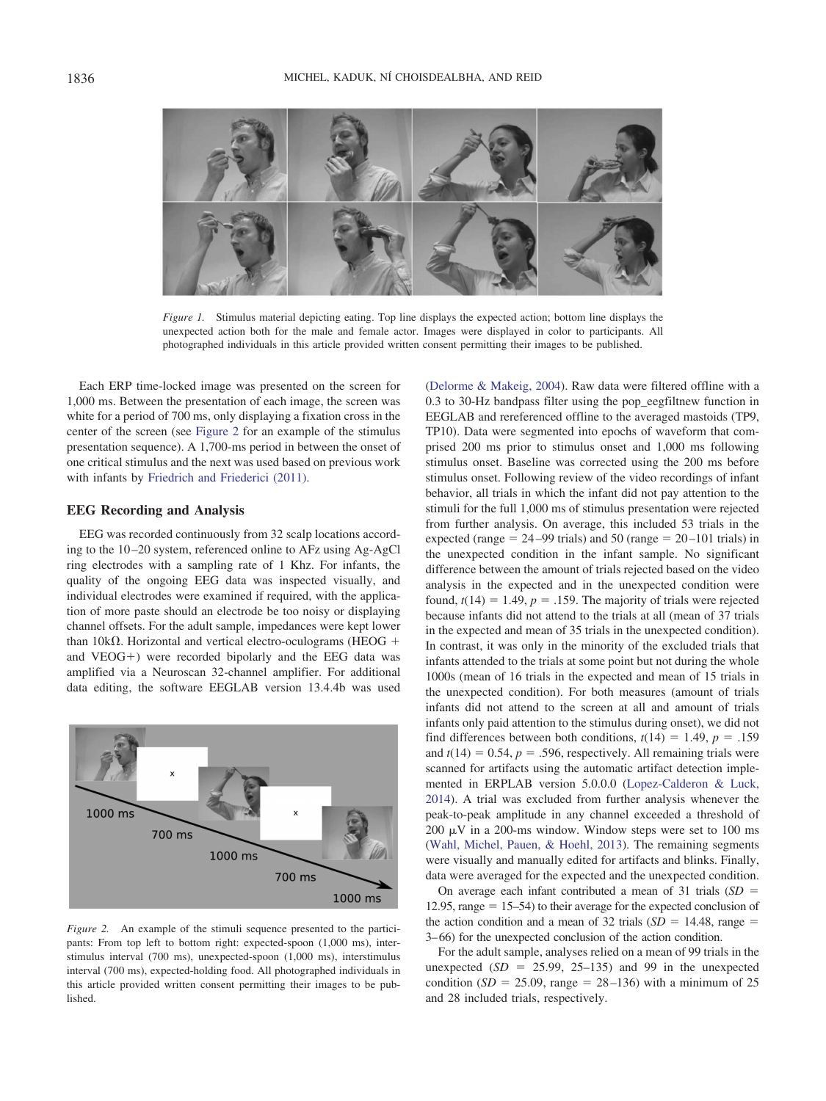

*Figure 1.* Stimulus material depicting eating. Top line displays the expected action; bottom line displays the unexpected action both for the male and female actor. Images were displayed in color to participants. All photographed individuals in this article provided written consent permitting their images to be published.

<span id="page-3-0"></span>Each ERP time-locked image was presented on the screen for 1,000 ms. Between the presentation of each image, the screen was white for a period of 700 ms, only displaying a fixation cross in the center of the screen (see [Figure 2](#page-3-1) for an example of the stimulus presentation sequence). A 1,700-ms period in between the onset of one critical stimulus and the next was used based on previous work with infants by [Friedrich and Friederici \(2011\).](#page-9-15)

## **EEG Recording and Analysis**

EEG was recorded continuously from 32 scalp locations according to the 10 –20 system, referenced online to AFz using Ag-AgCl ring electrodes with a sampling rate of 1 Khz. For infants, the quality of the ongoing EEG data was inspected visually, and individual electrodes were examined if required, with the application of more paste should an electrode be too noisy or displaying channel offsets. For the adult sample, impedances were kept lower than 10k $\Omega$ . Horizontal and vertical electro-oculograms (HEOG + and  $VEOG+$ ) were recorded bipolarly and the EEG data was amplified via a Neuroscan 32-channel amplifier. For additional data editing, the software EEGLAB version 13.4.4b was used



<span id="page-3-1"></span>*Figure 2.* An example of the stimuli sequence presented to the participants: From top left to bottom right: expected-spoon (1,000 ms), interstimulus interval (700 ms), unexpected-spoon (1,000 ms), interstimulus interval (700 ms), expected-holding food. All photographed individuals in this article provided written consent permitting their images to be published.

[\(Delorme & Makeig, 2004\)](#page-9-16). Raw data were filtered offline with a 0.3 to 30-Hz bandpass filter using the pop\_eegfiltnew function in EEGLAB and rereferenced offline to the averaged mastoids (TP9, TP10). Data were segmented into epochs of waveform that comprised 200 ms prior to stimulus onset and 1,000 ms following stimulus onset. Baseline was corrected using the 200 ms before stimulus onset. Following review of the video recordings of infant behavior, all trials in which the infant did not pay attention to the stimuli for the full 1,000 ms of stimulus presentation were rejected from further analysis. On average, this included 53 trials in the expected (range  $= 24 - 99$  trials) and 50 (range  $= 20 - 101$  trials) in the unexpected condition in the infant sample. No significant difference between the amount of trials rejected based on the video analysis in the expected and in the unexpected condition were found,  $t(14) = 1.49$ ,  $p = .159$ . The majority of trials were rejected because infants did not attend to the trials at all (mean of 37 trials in the expected and mean of 35 trials in the unexpected condition). In contrast, it was only in the minority of the excluded trials that infants attended to the trials at some point but not during the whole 1000s (mean of 16 trials in the expected and mean of 15 trials in the unexpected condition). For both measures (amount of trials infants did not attend to the screen at all and amount of trials infants only paid attention to the stimulus during onset), we did not find differences between both conditions,  $t(14) = 1.49$ ,  $p = .159$ and  $t(14) = 0.54$ ,  $p = .596$ , respectively. All remaining trials were scanned for artifacts using the automatic artifact detection implemented in ERPLAB version 5.0.0.0 [\(Lopez-Calderon & Luck,](#page-9-17) [2014\)](#page-9-17). A trial was excluded from further analysis whenever the peak-to-peak amplitude in any channel exceeded a threshold of 200  $\mu$ V in a 200-ms window. Window steps were set to 100 ms [\(Wahl, Michel, Pauen, & Hoehl, 2013\)](#page-10-16). The remaining segments were visually and manually edited for artifacts and blinks. Finally, data were averaged for the expected and the unexpected condition.

On average each infant contributed a mean of 31 trials  $(SD =$  $12.95$ , range = 15–54) to their average for the expected conclusion of the action condition and a mean of 32 trials  $(SD = 14.48, \text{ range} =$ 3– 66) for the unexpected conclusion of the action condition.

For the adult sample, analyses relied on a mean of 99 trials in the unexpected  $(SD = 25.99, 25-135)$  and 99 in the unexpected condition ( $SD = 25.09$ , range =  $28-136$ ) with a minimum of 25 and 28 included trials, respectively.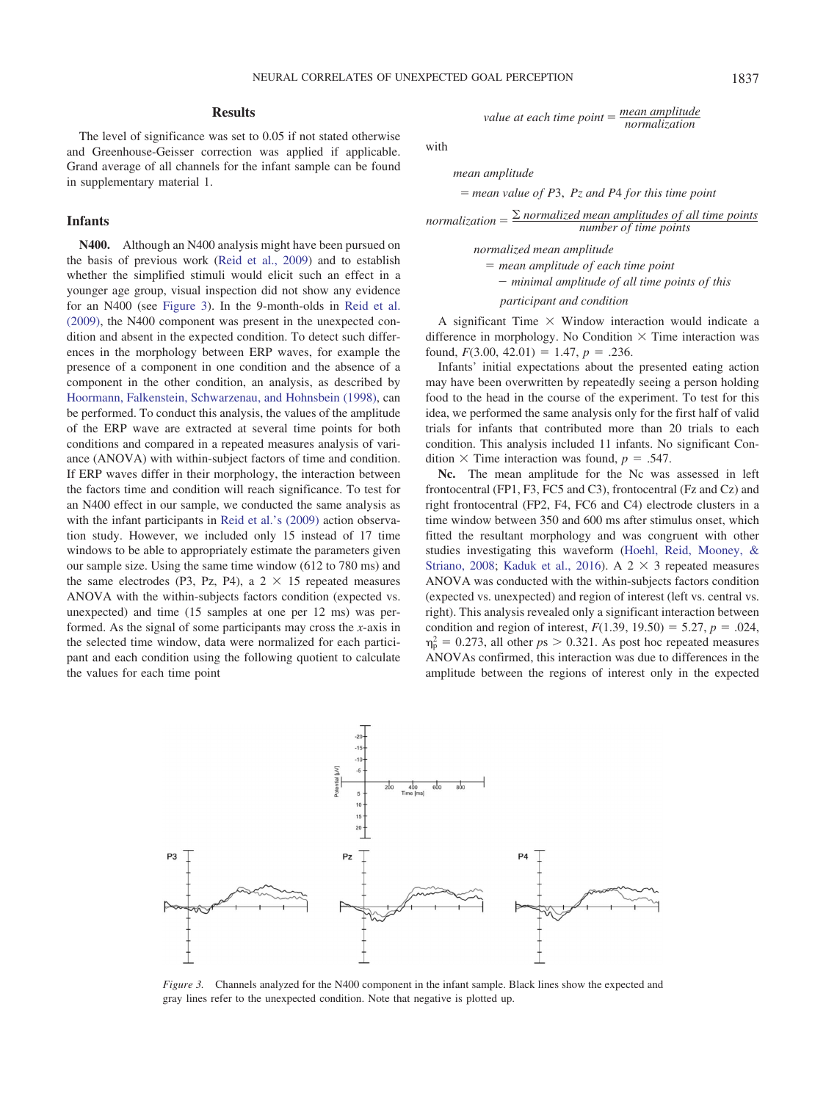#### **Results**

The level of significance was set to 0.05 if not stated otherwise and Greenhouse-Geisser correction was applied if applicable. Grand average of all channels for the infant sample can be found in supplementary material 1.

# **Infants**

**N400.** Although an N400 analysis might have been pursued on the basis of previous work [\(Reid et al., 2009\)](#page-10-2) and to establish whether the simplified stimuli would elicit such an effect in a younger age group, visual inspection did not show any evidence for an N400 (see [Figure 3\)](#page-4-0). In the 9-month-olds in [Reid et al.](#page-10-2) [\(2009\),](#page-10-2) the N400 component was present in the unexpected condition and absent in the expected condition. To detect such differences in the morphology between ERP waves, for example the presence of a component in one condition and the absence of a component in the other condition, an analysis, as described by [Hoormann, Falkenstein, Schwarzenau, and Hohnsbein \(1998\),](#page-9-18) can be performed. To conduct this analysis, the values of the amplitude of the ERP wave are extracted at several time points for both conditions and compared in a repeated measures analysis of variance (ANOVA) with within-subject factors of time and condition. If ERP waves differ in their morphology, the interaction between the factors time and condition will reach significance. To test for an N400 effect in our sample, we conducted the same analysis as with the infant participants in [Reid et al.'s \(2009\)](#page-10-2) action observation study. However, we included only 15 instead of 17 time windows to be able to appropriately estimate the parameters given our sample size. Using the same time window (612 to 780 ms) and the same electrodes (P3, Pz, P4), a  $2 \times 15$  repeated measures ANOVA with the within-subjects factors condition (expected vs. unexpected) and time (15 samples at one per 12 ms) was performed. As the signal of some participants may cross the *x*-axis in the selected time window, data were normalized for each participant and each condition using the following quotient to calculate the values for each time point

*value at each time point* =  $\frac{mean \ amplitude}{normalization}$ *normalization*

with

*mean amplitude*

- *mean value of P*3, *Pz and P*4 *for this time point*

normalization  $=$   $\frac{\sum$  normalized mean amplitudes of all time points *number of time points*

> *normalized mean amplitude* - *mean amplitude of each time point minimal amplitude of all time points of this*

*participant and condition*

A significant Time  $\times$  Window interaction would indicate a difference in morphology. No Condition  $\times$  Time interaction was found,  $F(3.00, 42.01) = 1.47, p = .236$ .

Infants' initial expectations about the presented eating action may have been overwritten by repeatedly seeing a person holding food to the head in the course of the experiment. To test for this idea, we performed the same analysis only for the first half of valid trials for infants that contributed more than 20 trials to each condition. This analysis included 11 infants. No significant Condition  $\times$  Time interaction was found,  $p = .547$ .

**Nc.** The mean amplitude for the Nc was assessed in left frontocentral (FP1, F3, FC5 and C3), frontocentral (Fz and Cz) and right frontocentral (FP2, F4, FC6 and C4) electrode clusters in a time window between 350 and 600 ms after stimulus onset, which fitted the resultant morphology and was congruent with other studies investigating this waveform [\(Hoehl, Reid, Mooney, &](#page-9-19) [Striano, 2008;](#page-9-19) [Kaduk et al., 2016\)](#page-9-10). A  $2 \times 3$  repeated measures ANOVA was conducted with the within-subjects factors condition (expected vs. unexpected) and region of interest (left vs. central vs. right). This analysis revealed only a significant interaction between condition and region of interest,  $F(1.39, 19.50) = 5.27, p = .024,$  $\eta_{\rm p}^2 = 0.273$ , all other  $ps > 0.321$ . As post hoc repeated measures ANOVAs confirmed, this interaction was due to differences in the amplitude between the regions of interest only in the expected



<span id="page-4-0"></span>*Figure 3.* Channels analyzed for the N400 component in the infant sample. Black lines show the expected and gray lines refer to the unexpected condition. Note that negative is plotted up.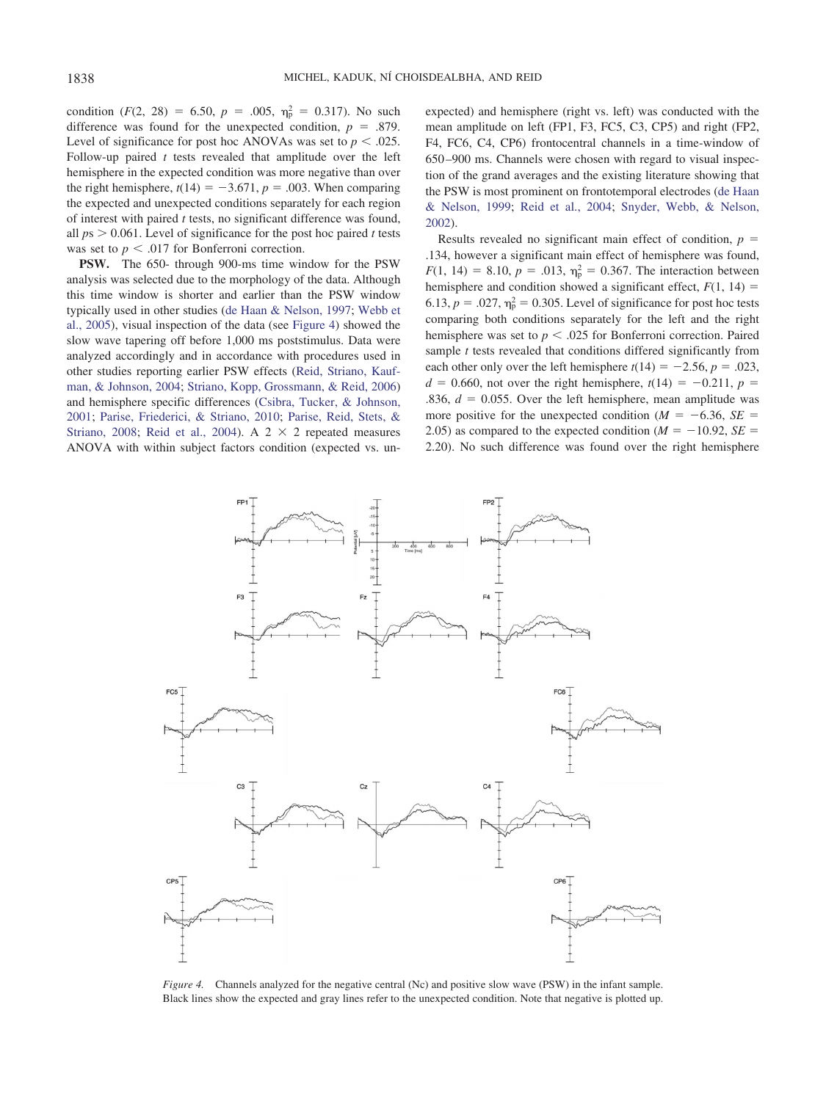condition  $(F(2, 28) = 6.50, p = .005, \eta_{p}^{2} = 0.317)$ . No such difference was found for the unexpected condition,  $p = .879$ . Level of significance for post hoc ANOVAs was set to  $p < .025$ . Follow-up paired *t* tests revealed that amplitude over the left hemisphere in the expected condition was more negative than over the right hemisphere,  $t(14) = -3.671$ ,  $p = .003$ . When comparing the expected and unexpected conditions separately for each region of interest with paired *t* tests, no significant difference was found, all  $ps > 0.061$ . Level of significance for the post hoc paired *t* tests was set to  $p < .017$  for Bonferroni correction.

**PSW.** The 650- through 900-ms time window for the PSW analysis was selected due to the morphology of the data. Although this time window is shorter and earlier than the PSW window typically used in other studies [\(de Haan & Nelson, 1997;](#page-9-20) [Webb et](#page-10-12) [al., 2005\)](#page-10-12), visual inspection of the data (see [Figure 4\)](#page-5-0) showed the slow wave tapering off before 1,000 ms poststimulus. Data were analyzed accordingly and in accordance with procedures used in other studies reporting earlier PSW effects [\(Reid, Striano, Kauf](#page-10-17)[man, & Johnson, 2004;](#page-10-17) [Striano, Kopp, Grossmann, & Reid, 2006\)](#page-10-18) and hemisphere specific differences [\(Csibra, Tucker, & Johnson,](#page-9-21) [2001;](#page-9-21) [Parise, Friederici, & Striano, 2010;](#page-10-19) [Parise, Reid, Stets, &](#page-10-20) [Striano, 2008;](#page-10-20) [Reid et al., 2004\)](#page-10-17). A  $2 \times 2$  repeated measures ANOVA with within subject factors condition (expected vs. unexpected) and hemisphere (right vs. left) was conducted with the mean amplitude on left (FP1, F3, FC5, C3, CP5) and right (FP2, F4, FC6, C4, CP6) frontocentral channels in a time-window of 650 –900 ms. Channels were chosen with regard to visual inspection of the grand averages and the existing literature showing that the PSW is most prominent on frontotemporal electrodes [\(de Haan](#page-9-9) [& Nelson, 1999;](#page-9-9) [Reid et al., 2004;](#page-10-17) [Snyder, Webb, & Nelson,](#page-10-21) [2002\)](#page-10-21).

Results revealed no significant main effect of condition,  $p =$ .134, however a significant main effect of hemisphere was found,  $F(1, 14) = 8.10, p = .013, \eta_p^2 = 0.367$ . The interaction between hemisphere and condition showed a significant effect,  $F(1, 14) =$ 6.13,  $p = .027$ ,  $\eta_p^2 = 0.305$ . Level of significance for post hoc tests comparing both conditions separately for the left and the right hemisphere was set to  $p < .025$  for Bonferroni correction. Paired sample *t* tests revealed that conditions differed significantly from each other only over the left hemisphere  $t(14) = -2.56$ ,  $p = .023$ ,  $d = 0.660$ , not over the right hemisphere,  $t(14) = -0.211$ ,  $p =$ .836,  $d = 0.055$ . Over the left hemisphere, mean amplitude was more positive for the unexpected condition ( $M = -6.36$ ,  $SE =$ 2.05) as compared to the expected condition ( $M = -10.92$ ,  $SE =$ 2.20). No such difference was found over the right hemisphere



<span id="page-5-0"></span>*Figure 4.* Channels analyzed for the negative central (Nc) and positive slow wave (PSW) in the infant sample. Black lines show the expected and gray lines refer to the unexpected condition. Note that negative is plotted up.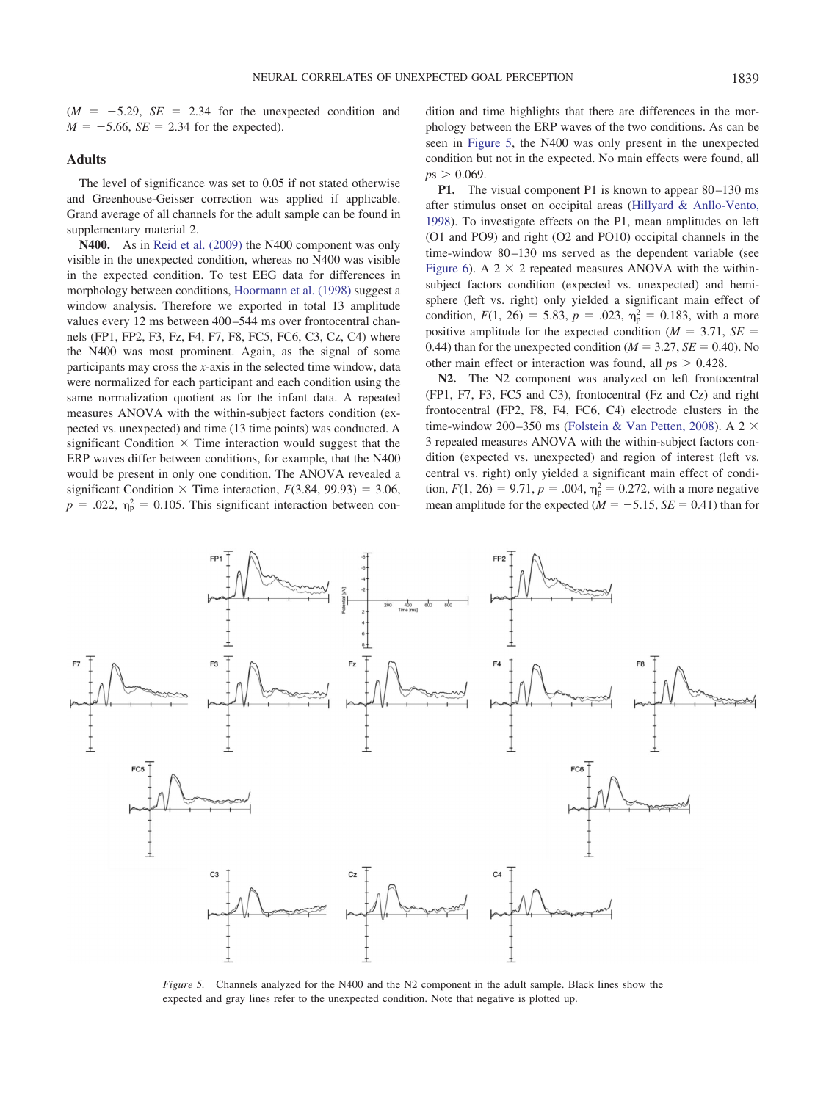

### **Adults**

The level of significance was set to 0.05 if not stated otherwise and Greenhouse-Geisser correction was applied if applicable. Grand average of all channels for the adult sample can be found in supplementary material 2.

**N400.** As in [Reid et al. \(2009\)](#page-10-2) the N400 component was only visible in the unexpected condition, whereas no N400 was visible in the expected condition. To test EEG data for differences in morphology between conditions, [Hoormann et al. \(1998\)](#page-9-18) suggest a window analysis. Therefore we exported in total 13 amplitude values every 12 ms between 400-544 ms over frontocentral channels (FP1, FP2, F3, Fz, F4, F7, F8, FC5, FC6, C3, Cz, C4) where the N400 was most prominent. Again, as the signal of some participants may cross the *x*-axis in the selected time window, data were normalized for each participant and each condition using the same normalization quotient as for the infant data. A repeated measures ANOVA with the within-subject factors condition (expected vs. unexpected) and time (13 time points) was conducted. A significant Condition  $\times$  Time interaction would suggest that the ERP waves differ between conditions, for example, that the N400 would be present in only one condition. The ANOVA revealed a significant Condition  $\times$  Time interaction,  $F(3.84, 99.93) = 3.06$ ,  $p = .022$ ,  $\eta_p^2 = 0.105$ . This significant interaction between condition and time highlights that there are differences in the morphology between the ERP waves of the two conditions. As can be seen in [Figure 5,](#page-6-0) the N400 was only present in the unexpected condition but not in the expected. No main effects were found, all  $p s > 0.069$ .

**P1.** The visual component P1 is known to appear 80–130 ms after stimulus onset on occipital areas [\(Hillyard & Anllo-Vento,](#page-9-22) [1998\)](#page-9-22). To investigate effects on the P1, mean amplitudes on left (O1 and PO9) and right (O2 and PO10) occipital channels in the time-window 80–130 ms served as the dependent variable (see [Figure 6\)](#page-7-0). A  $2 \times 2$  repeated measures ANOVA with the withinsubject factors condition (expected vs. unexpected) and hemisphere (left vs. right) only yielded a significant main effect of condition,  $F(1, 26) = 5.83$ ,  $p = .023$ ,  $\eta_p^2 = 0.183$ , with a more positive amplitude for the expected condition ( $M = 3.71$ ,  $SE =$ 0.44) than for the unexpected condition ( $M = 3.27$ ,  $SE = 0.40$ ). No other main effect or interaction was found, all  $ps > 0.428$ .

**N2.** The N2 component was analyzed on left frontocentral (FP1, F7, F3, FC5 and C3), frontocentral (Fz and Cz) and right frontocentral (FP2, F8, F4, FC6, C4) electrode clusters in the time-window 200-350 ms [\(Folstein & Van Petten, 2008\)](#page-9-14). A 2  $\times$ 3 repeated measures ANOVA with the within-subject factors condition (expected vs. unexpected) and region of interest (left vs. central vs. right) only yielded a significant main effect of condition,  $F(1, 26) = 9.71$ ,  $p = .004$ ,  $\eta_p^2 = 0.272$ , with a more negative mean amplitude for the expected  $(M = -5.15, SE = 0.41)$  than for



<span id="page-6-0"></span>*Figure 5.* Channels analyzed for the N400 and the N2 component in the adult sample. Black lines show the expected and gray lines refer to the unexpected condition. Note that negative is plotted up.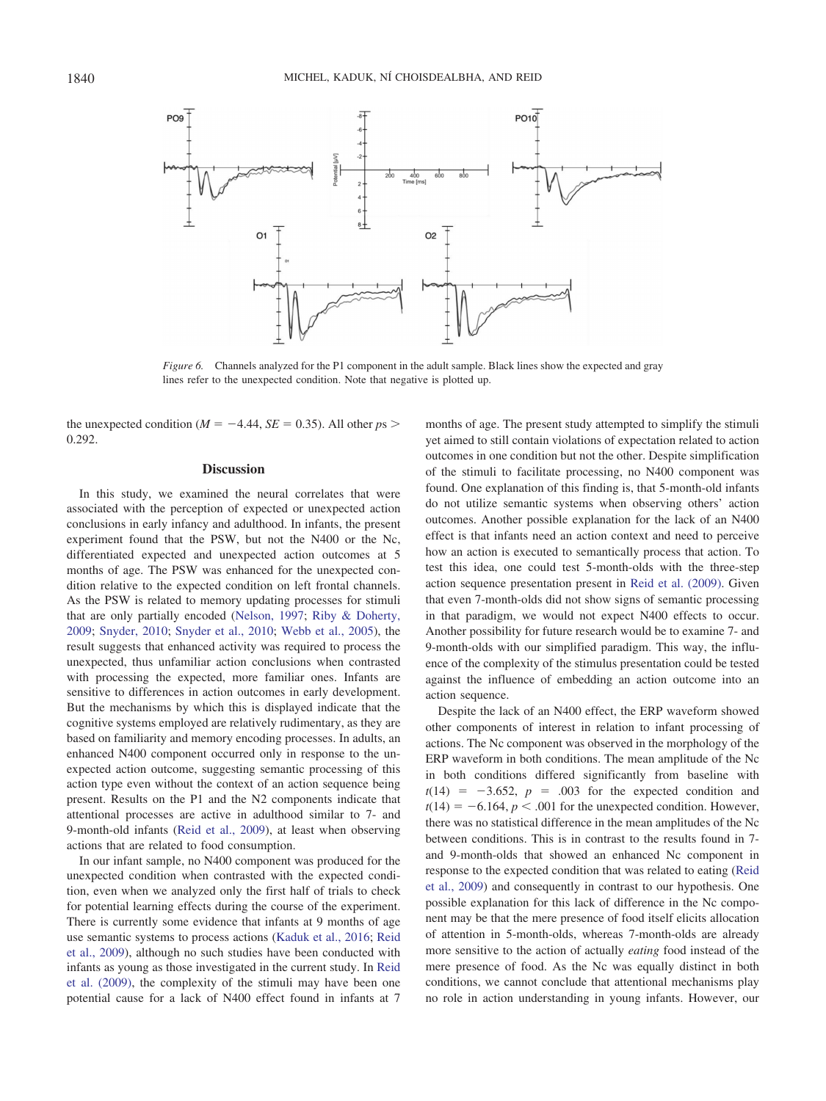

<span id="page-7-0"></span>*Figure 6.* Channels analyzed for the P1 component in the adult sample. Black lines show the expected and gray lines refer to the unexpected condition. Note that negative is plotted up.

the unexpected condition ( $M = -4.44$ ,  $SE = 0.35$ ). All other  $ps >$ 0.292.

#### **Discussion**

In this study, we examined the neural correlates that were associated with the perception of expected or unexpected action conclusions in early infancy and adulthood. In infants, the present experiment found that the PSW, but not the N400 or the Nc, differentiated expected and unexpected action outcomes at 5 months of age. The PSW was enhanced for the unexpected condition relative to the expected condition on left frontal channels. As the PSW is related to memory updating processes for stimuli that are only partially encoded [\(Nelson, 1997;](#page-9-11) [Riby & Doherty,](#page-10-9) [2009;](#page-10-9) [Snyder, 2010;](#page-10-10) [Snyder et al., 2010;](#page-10-11) [Webb et al., 2005\)](#page-10-12), the result suggests that enhanced activity was required to process the unexpected, thus unfamiliar action conclusions when contrasted with processing the expected, more familiar ones. Infants are sensitive to differences in action outcomes in early development. But the mechanisms by which this is displayed indicate that the cognitive systems employed are relatively rudimentary, as they are based on familiarity and memory encoding processes. In adults, an enhanced N400 component occurred only in response to the unexpected action outcome, suggesting semantic processing of this action type even without the context of an action sequence being present. Results on the P1 and the N2 components indicate that attentional processes are active in adulthood similar to 7- and 9-month-old infants [\(Reid et al., 2009\)](#page-10-2), at least when observing actions that are related to food consumption.

In our infant sample, no N400 component was produced for the unexpected condition when contrasted with the expected condition, even when we analyzed only the first half of trials to check for potential learning effects during the course of the experiment. There is currently some evidence that infants at 9 months of age use semantic systems to process actions [\(Kaduk et al., 2016;](#page-9-10) [Reid](#page-10-2) [et al., 2009\)](#page-10-2), although no such studies have been conducted with infants as young as those investigated in the current study. In [Reid](#page-10-2) [et al. \(2009\),](#page-10-2) the complexity of the stimuli may have been one potential cause for a lack of N400 effect found in infants at 7

months of age. The present study attempted to simplify the stimuli yet aimed to still contain violations of expectation related to action outcomes in one condition but not the other. Despite simplification of the stimuli to facilitate processing, no N400 component was found. One explanation of this finding is, that 5-month-old infants do not utilize semantic systems when observing others' action outcomes. Another possible explanation for the lack of an N400 effect is that infants need an action context and need to perceive how an action is executed to semantically process that action. To test this idea, one could test 5-month-olds with the three-step action sequence presentation present in [Reid et al. \(2009\).](#page-10-2) Given that even 7-month-olds did not show signs of semantic processing in that paradigm, we would not expect N400 effects to occur. Another possibility for future research would be to examine 7- and 9-month-olds with our simplified paradigm. This way, the influence of the complexity of the stimulus presentation could be tested against the influence of embedding an action outcome into an action sequence.

Despite the lack of an N400 effect, the ERP waveform showed other components of interest in relation to infant processing of actions. The Nc component was observed in the morphology of the ERP waveform in both conditions. The mean amplitude of the Nc in both conditions differed significantly from baseline with  $t(14) = -3.652$ ,  $p = .003$  for the expected condition and  $t(14) = -6.164$ ,  $p < .001$  for the unexpected condition. However, there was no statistical difference in the mean amplitudes of the Nc between conditions. This is in contrast to the results found in 7 and 9-month-olds that showed an enhanced Nc component in response to the expected condition that was related to eating [\(Reid](#page-10-2) [et al., 2009\)](#page-10-2) and consequently in contrast to our hypothesis. One possible explanation for this lack of difference in the Nc component may be that the mere presence of food itself elicits allocation of attention in 5-month-olds, whereas 7-month-olds are already more sensitive to the action of actually *eating* food instead of the mere presence of food. As the Nc was equally distinct in both conditions, we cannot conclude that attentional mechanisms play no role in action understanding in young infants. However, our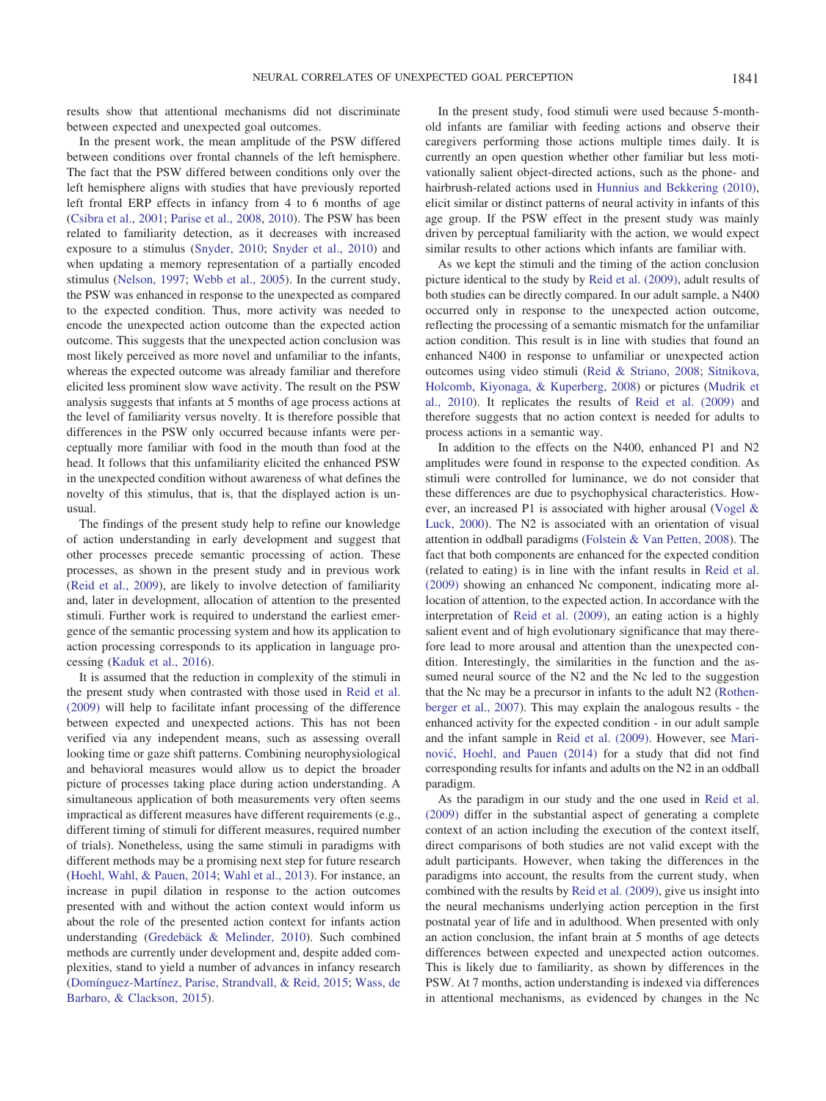results show that attentional mechanisms did not discriminate between expected and unexpected goal outcomes.

In the present work, the mean amplitude of the PSW differed between conditions over frontal channels of the left hemisphere. The fact that the PSW differed between conditions only over the left hemisphere aligns with studies that have previously reported left frontal ERP effects in infancy from 4 to 6 months of age [\(Csibra et al., 2001;](#page-9-21) [Parise et al., 2008,](#page-10-20) [2010\)](#page-10-19). The PSW has been related to familiarity detection, as it decreases with increased exposure to a stimulus [\(Snyder, 2010;](#page-10-10) [Snyder et al., 2010\)](#page-10-11) and when updating a memory representation of a partially encoded stimulus [\(Nelson, 1997;](#page-9-11) [Webb et al., 2005\)](#page-10-12). In the current study, the PSW was enhanced in response to the unexpected as compared to the expected condition. Thus, more activity was needed to encode the unexpected action outcome than the expected action outcome. This suggests that the unexpected action conclusion was most likely perceived as more novel and unfamiliar to the infants, whereas the expected outcome was already familiar and therefore elicited less prominent slow wave activity. The result on the PSW analysis suggests that infants at 5 months of age process actions at the level of familiarity versus novelty. It is therefore possible that differences in the PSW only occurred because infants were perceptually more familiar with food in the mouth than food at the head. It follows that this unfamiliarity elicited the enhanced PSW in the unexpected condition without awareness of what defines the novelty of this stimulus, that is, that the displayed action is unusual.

The findings of the present study help to refine our knowledge of action understanding in early development and suggest that other processes precede semantic processing of action. These processes, as shown in the present study and in previous work [\(Reid et al., 2009\)](#page-10-2), are likely to involve detection of familiarity and, later in development, allocation of attention to the presented stimuli. Further work is required to understand the earliest emergence of the semantic processing system and how its application to action processing corresponds to its application in language processing [\(Kaduk et al., 2016\)](#page-9-10).

It is assumed that the reduction in complexity of the stimuli in the present study when contrasted with those used in [Reid et al.](#page-10-2) [\(2009\)](#page-10-2) will help to facilitate infant processing of the difference between expected and unexpected actions. This has not been verified via any independent means, such as assessing overall looking time or gaze shift patterns. Combining neurophysiological and behavioral measures would allow us to depict the broader picture of processes taking place during action understanding. A simultaneous application of both measurements very often seems impractical as different measures have different requirements (e.g., different timing of stimuli for different measures, required number of trials). Nonetheless, using the same stimuli in paradigms with different methods may be a promising next step for future research [\(Hoehl, Wahl, & Pauen, 2014;](#page-9-23) [Wahl et al., 2013\)](#page-10-16). For instance, an increase in pupil dilation in response to the action outcomes presented with and without the action context would inform us about the role of the presented action context for infants action understanding [\(Gredebäck & Melinder, 2010\)](#page-9-6). Such combined methods are currently under development and, despite added complexities, stand to yield a number of advances in infancy research [\(Domínguez-Martínez, Parise, Strandvall, & Reid, 2015;](#page-9-24) [Wass, de](#page-10-22) [Barbaro, & Clackson, 2015\)](#page-10-22).

In the present study, food stimuli were used because 5-monthold infants are familiar with feeding actions and observe their caregivers performing those actions multiple times daily. It is currently an open question whether other familiar but less motivationally salient object-directed actions, such as the phone- and hairbrush-related actions used in [Hunnius and Bekkering \(2010\),](#page-9-3) elicit similar or distinct patterns of neural activity in infants of this age group. If the PSW effect in the present study was mainly driven by perceptual familiarity with the action, we would expect similar results to other actions which infants are familiar with.

As we kept the stimuli and the timing of the action conclusion picture identical to the study by [Reid et al. \(2009\),](#page-10-2) adult results of both studies can be directly compared. In our adult sample, a N400 occurred only in response to the unexpected action outcome, reflecting the processing of a semantic mismatch for the unfamiliar action condition. This result is in line with studies that found an enhanced N400 in response to unfamiliar or unexpected action outcomes using video stimuli [\(Reid & Striano, 2008;](#page-10-3) [Sitnikova,](#page-10-23) [Holcomb, Kiyonaga, & Kuperberg, 2008\)](#page-10-23) or pictures [\(Mudrik et](#page-9-12) [al., 2010\)](#page-9-12). It replicates the results of [Reid et al. \(2009\)](#page-10-2) and therefore suggests that no action context is needed for adults to process actions in a semantic way.

In addition to the effects on the N400, enhanced P1 and N2 amplitudes were found in response to the expected condition. As stimuli were controlled for luminance, we do not consider that these differences are due to psychophysical characteristics. However, an increased P1 is associated with higher arousal [\(Vogel &](#page-10-13) [Luck, 2000\)](#page-10-13). The N2 is associated with an orientation of visual attention in oddball paradigms [\(Folstein & Van Petten, 2008\)](#page-9-14). The fact that both components are enhanced for the expected condition (related to eating) is in line with the infant results in [Reid et al.](#page-10-2) [\(2009\)](#page-10-2) showing an enhanced Nc component, indicating more allocation of attention, to the expected action. In accordance with the interpretation of [Reid et al. \(2009\),](#page-10-2) an eating action is a highly salient event and of high evolutionary significance that may therefore lead to more arousal and attention than the unexpected condition. Interestingly, the similarities in the function and the assumed neural source of the N2 and the Nc led to the suggestion that the Nc may be a precursor in infants to the adult N2 [\(Rothen](#page-10-14)[berger et al., 2007\)](#page-10-14). This may explain the analogous results - the enhanced activity for the expected condition - in our adult sample and the infant sample in [Reid et al. \(2009\).](#page-10-2) However, see [Mari](#page-9-25)nović, Hoehl, and Pauen (2014) for a study that did not find corresponding results for infants and adults on the N2 in an oddball paradigm.

As the paradigm in our study and the one used in [Reid et al.](#page-10-2) [\(2009\)](#page-10-2) differ in the substantial aspect of generating a complete context of an action including the execution of the context itself, direct comparisons of both studies are not valid except with the adult participants. However, when taking the differences in the paradigms into account, the results from the current study, when combined with the results by [Reid et al. \(2009\),](#page-10-2) give us insight into the neural mechanisms underlying action perception in the first postnatal year of life and in adulthood. When presented with only an action conclusion, the infant brain at 5 months of age detects differences between expected and unexpected action outcomes. This is likely due to familiarity, as shown by differences in the PSW. At 7 months, action understanding is indexed via differences in attentional mechanisms, as evidenced by changes in the Nc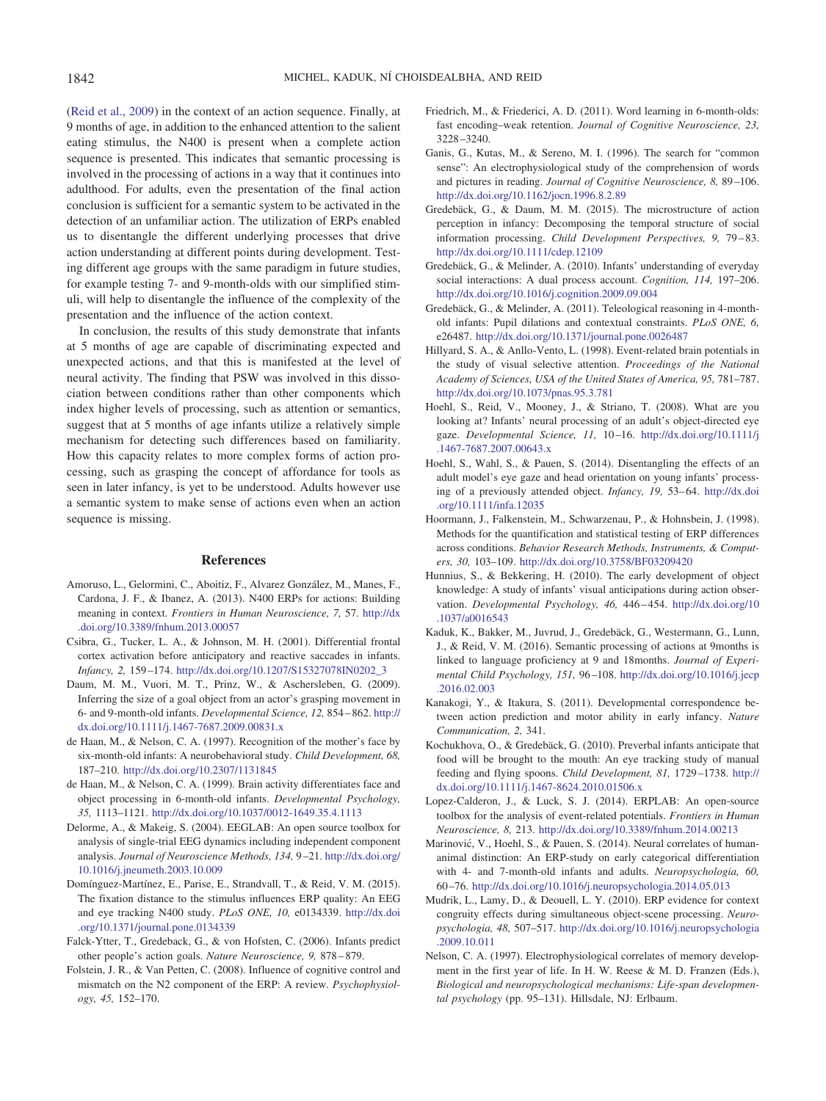[\(Reid et al., 2009\)](#page-10-2) in the context of an action sequence. Finally, at 9 months of age, in addition to the enhanced attention to the salient eating stimulus, the N400 is present when a complete action sequence is presented. This indicates that semantic processing is involved in the processing of actions in a way that it continues into adulthood. For adults, even the presentation of the final action conclusion is sufficient for a semantic system to be activated in the detection of an unfamiliar action. The utilization of ERPs enabled us to disentangle the different underlying processes that drive action understanding at different points during development. Testing different age groups with the same paradigm in future studies, for example testing 7- and 9-month-olds with our simplified stimuli, will help to disentangle the influence of the complexity of the presentation and the influence of the action context.

In conclusion, the results of this study demonstrate that infants at 5 months of age are capable of discriminating expected and unexpected actions, and that this is manifested at the level of neural activity. The finding that PSW was involved in this dissociation between conditions rather than other components which index higher levels of processing, such as attention or semantics, suggest that at 5 months of age infants utilize a relatively simple mechanism for detecting such differences based on familiarity. How this capacity relates to more complex forms of action processing, such as grasping the concept of affordance for tools as seen in later infancy, is yet to be understood. Adults however use a semantic system to make sense of actions even when an action sequence is missing.

#### **References**

- <span id="page-9-8"></span>Amoruso, L., Gelormini, C., Aboitiz, F., Alvarez González, M., Manes, F., Cardona, J. F., & Ibanez, A. (2013). N400 ERPs for actions: Building meaning in context. *Frontiers in Human Neuroscience, 7,* 57. [http://dx](http://dx.doi.org/10.3389/fnhum.2013.00057) [.doi.org/10.3389/fnhum.2013.00057](http://dx.doi.org/10.3389/fnhum.2013.00057)
- <span id="page-9-21"></span>Csibra, G., Tucker, L. A., & Johnson, M. H. (2001). Differential frontal cortex activation before anticipatory and reactive saccades in infants. *Infancy, 2,* 159 –174. [http://dx.doi.org/10.1207/S15327078IN0202\\_3](http://dx.doi.org/10.1207/S15327078IN0202_3)
- <span id="page-9-5"></span>Daum, M. M., Vuori, M. T., Prinz, W., & Aschersleben, G. (2009). Inferring the size of a goal object from an actor's grasping movement in 6- and 9-month-old infants. *Developmental Science, 12,* 854 – 862. [http://](http://dx.doi.org/10.1111/j.1467-7687.2009.00831.x) [dx.doi.org/10.1111/j.1467-7687.2009.00831.x](http://dx.doi.org/10.1111/j.1467-7687.2009.00831.x)
- <span id="page-9-20"></span>de Haan, M., & Nelson, C. A. (1997). Recognition of the mother's face by six-month-old infants: A neurobehavioral study. *Child Development, 68,* 187–210. <http://dx.doi.org/10.2307/1131845>
- <span id="page-9-9"></span>de Haan, M., & Nelson, C. A. (1999). Brain activity differentiates face and object processing in 6-month-old infants. *Developmental Psychology, 35,* 1113–1121. <http://dx.doi.org/10.1037/0012-1649.35.4.1113>
- <span id="page-9-16"></span>Delorme, A., & Makeig, S. (2004). EEGLAB: An open source toolbox for analysis of single-trial EEG dynamics including independent component analysis. *Journal of Neuroscience Methods, 134,* 9 –21. [http://dx.doi.org/](http://dx.doi.org/10.1016/j.jneumeth.2003.10.009) [10.1016/j.jneumeth.2003.10.009](http://dx.doi.org/10.1016/j.jneumeth.2003.10.009)
- <span id="page-9-24"></span>Domínguez-Martínez, E., Parise, E., Strandvall, T., & Reid, V. M. (2015). The fixation distance to the stimulus influences ERP quality: An EEG and eye tracking N400 study. *PLoS ONE, 10,* e0134339. [http://dx.doi](http://dx.doi.org/10.1371/journal.pone.0134339) [.org/10.1371/journal.pone.0134339](http://dx.doi.org/10.1371/journal.pone.0134339)
- <span id="page-9-1"></span>Falck-Ytter, T., Gredeback, G., & von Hofsten, C. (2006). Infants predict other people's action goals. *Nature Neuroscience, 9,* 878 – 879.
- <span id="page-9-14"></span>Folstein, J. R., & Van Petten, C. (2008). Influence of cognitive control and mismatch on the N2 component of the ERP: A review. *Psychophysiology, 45,* 152–170.
- <span id="page-9-15"></span>Friedrich, M., & Friederici, A. D. (2011). Word learning in 6-month-olds: fast encoding–weak retention. *Journal of Cognitive Neuroscience, 23,* 3228 –3240.
- <span id="page-9-13"></span>Ganis, G., Kutas, M., & Sereno, M. I. (1996). The search for "common sense": An electrophysiological study of the comprehension of words and pictures in reading. *Journal of Cognitive Neuroscience, 8,* 89 –106. <http://dx.doi.org/10.1162/jocn.1996.8.2.89>
- <span id="page-9-0"></span>Gredebäck, G., & Daum, M. M. (2015). The microstructure of action perception in infancy: Decomposing the temporal structure of social information processing. *Child Development Perspectives, 9,* 79 – 83. <http://dx.doi.org/10.1111/cdep.12109>
- <span id="page-9-6"></span>Gredebäck, G., & Melinder, A. (2010). Infants' understanding of everyday social interactions: A dual process account. *Cognition, 114,* 197–206. <http://dx.doi.org/10.1016/j.cognition.2009.09.004>
- <span id="page-9-7"></span>Gredebäck, G., & Melinder, A. (2011). Teleological reasoning in 4-monthold infants: Pupil dilations and contextual constraints. *PLoS ONE, 6,* e26487. <http://dx.doi.org/10.1371/journal.pone.0026487>
- <span id="page-9-22"></span>Hillyard, S. A., & Anllo-Vento, L. (1998). Event-related brain potentials in the study of visual selective attention. *Proceedings of the National Academy of Sciences, USA of the United States of America, 95,* 781–787. <http://dx.doi.org/10.1073/pnas.95.3.781>
- <span id="page-9-19"></span>Hoehl, S., Reid, V., Mooney, J., & Striano, T. (2008). What are you looking at? Infants' neural processing of an adult's object-directed eye gaze. *Developmental Science, 11,* 10 –16. [http://dx.doi.org/10.1111/j](http://dx.doi.org/10.1111/j.1467-7687.2007.00643.x) [.1467-7687.2007.00643.x](http://dx.doi.org/10.1111/j.1467-7687.2007.00643.x)
- <span id="page-9-23"></span>Hoehl, S., Wahl, S., & Pauen, S. (2014). Disentangling the effects of an adult model's eye gaze and head orientation on young infants' processing of a previously attended object. *Infancy*, 19, 53–64. [http://dx.doi](http://dx.doi.org/10.1111/infa.12035) [.org/10.1111/infa.12035](http://dx.doi.org/10.1111/infa.12035)
- <span id="page-9-18"></span>Hoormann, J., Falkenstein, M., Schwarzenau, P., & Hohnsbein, J. (1998). Methods for the quantification and statistical testing of ERP differences across conditions. *Behavior Research Methods, Instruments, & Computers, 30,* 103–109. <http://dx.doi.org/10.3758/BF03209420>
- <span id="page-9-3"></span>Hunnius, S., & Bekkering, H. (2010). The early development of object knowledge: A study of infants' visual anticipations during action observation. *Developmental Psychology, 46,* 446 – 454. [http://dx.doi.org/10](http://dx.doi.org/10.1037/a0016543) [.1037/a0016543](http://dx.doi.org/10.1037/a0016543)
- <span id="page-9-10"></span>Kaduk, K., Bakker, M., Juvrud, J., Gredebäck, G., Westermann, G., Lunn, J., & Reid, V. M. (2016). Semantic processing of actions at 9months is linked to language proficiency at 9 and 18months. *Journal of Experimental Child Psychology, 151,* 96 –108. [http://dx.doi.org/10.1016/j.jecp](http://dx.doi.org/10.1016/j.jecp.2016.02.003) [.2016.02.003](http://dx.doi.org/10.1016/j.jecp.2016.02.003)
- <span id="page-9-2"></span>Kanakogi, Y., & Itakura, S. (2011). Developmental correspondence between action prediction and motor ability in early infancy. *Nature Communication, 2,* 341.
- <span id="page-9-4"></span>Kochukhova, O., & Gredebäck, G. (2010). Preverbal infants anticipate that food will be brought to the mouth: An eye tracking study of manual feeding and flying spoons. *Child Development, 81,* 1729 –1738. [http://](http://dx.doi.org/10.1111/j.1467-8624.2010.01506.x) [dx.doi.org/10.1111/j.1467-8624.2010.01506.x](http://dx.doi.org/10.1111/j.1467-8624.2010.01506.x)
- <span id="page-9-17"></span>Lopez-Calderon, J., & Luck, S. J. (2014). ERPLAB: An open-source toolbox for the analysis of event-related potentials. *Frontiers in Human Neuroscience, 8,* 213. <http://dx.doi.org/10.3389/fnhum.2014.00213>
- <span id="page-9-25"></span>Marinović, V., Hoehl, S., & Pauen, S. (2014). Neural correlates of humananimal distinction: An ERP-study on early categorical differentiation with 4- and 7-month-old infants and adults. *Neuropsychologia, 60,* 60 –76. <http://dx.doi.org/10.1016/j.neuropsychologia.2014.05.013>
- <span id="page-9-12"></span>Mudrik, L., Lamy, D., & Deouell, L. Y. (2010). ERP evidence for context congruity effects during simultaneous object-scene processing. *Neuropsychologia, 48,* 507–517. [http://dx.doi.org/10.1016/j.neuropsychologia](http://dx.doi.org/10.1016/j.neuropsychologia.2009.10.011) [.2009.10.011](http://dx.doi.org/10.1016/j.neuropsychologia.2009.10.011)
- <span id="page-9-11"></span>Nelson, C. A. (1997). Electrophysiological correlates of memory development in the first year of life. In H. W. Reese & M. D. Franzen (Eds.), *Biological and neuropsychological mechanisms: Life-span developmental psychology* (pp. 95–131). Hillsdale, NJ: Erlbaum.